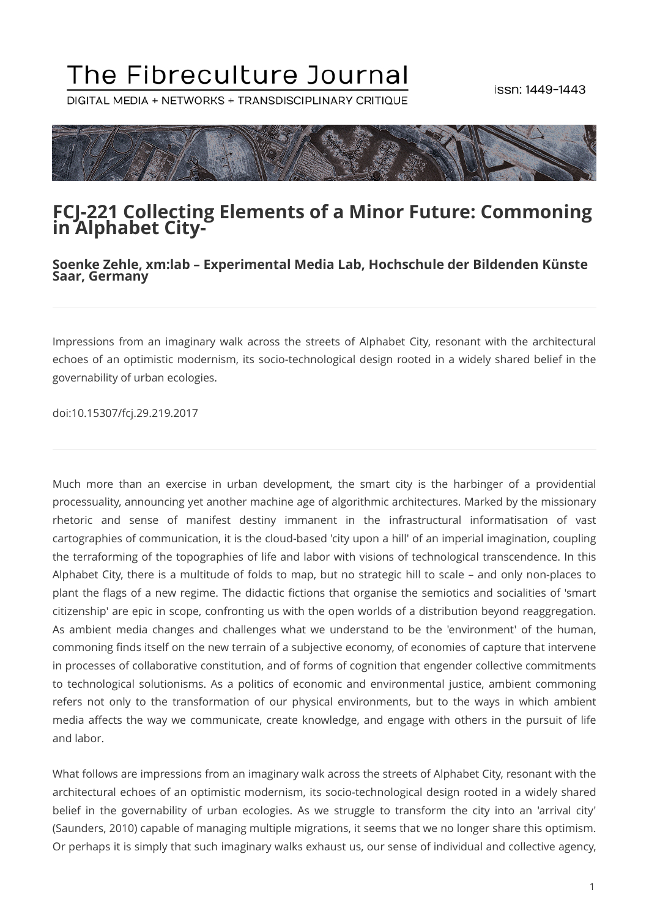# The Fibreculture Journal

DIGITAL MEDIA + NETWORKS + TRANSDISCIPLINARY CRITIQUE



#### **FCJ-221 Collecting Elements of a Minor Future: Commoning in Alphabet City-**

#### **Soenke Zehle, xm:lab – Experimental Media Lab, Hochschule der Bildenden Künste Saar, Germany**

Impressions from an imaginary walk across the streets of Alphabet City, resonant with the architectural echoes of an optimistic modernism, its socio-technological design rooted in a widely shared belief in the governability of urban ecologies.

doi:10.15307/fcj.29.219.2017

Much more than an exercise in urban development, the smart city is the harbinger of a providential processuality, announcing yet another machine age of algorithmic architectures. Marked by the missionary rhetoric and sense of manifest destiny immanent in the infrastructural informatisation of vast cartographies of communication, it is the cloud-based 'city upon a hill' of an imperial imagination, coupling the terraforming of the topographies of life and labor with visions of technological transcendence. In this Alphabet City, there is a multitude of folds to map, but no strategic hill to scale – and only non-places to plant the flags of a new regime. The didactic fictions that organise the semiotics and socialities of 'smart citizenship' are epic in scope, confronting us with the open worlds of a distribution beyond reaggregation. As ambient media changes and challenges what we understand to be the 'environment' of the human, commoning finds itself on the new terrain of a subjective economy, of economies of capture that intervene in processes of collaborative constitution, and of forms of cognition that engender collective commitments to technological solutionisms. As a politics of economic and environmental justice, ambient commoning refers not only to the transformation of our physical environments, but to the ways in which ambient media affects the way we communicate, create knowledge, and engage with others in the pursuit of life and labor.

What follows are impressions from an imaginary walk across the streets of Alphabet City, resonant with the architectural echoes of an optimistic modernism, its socio-technological design rooted in a widely shared belief in the governability of urban ecologies. As we struggle to transform the city into an 'arrival city' (Saunders, 2010) capable of managing multiple migrations, it seems that we no longer share this optimism. Or perhaps it is simply that such imaginary walks exhaust us, our sense of individual and collective agency,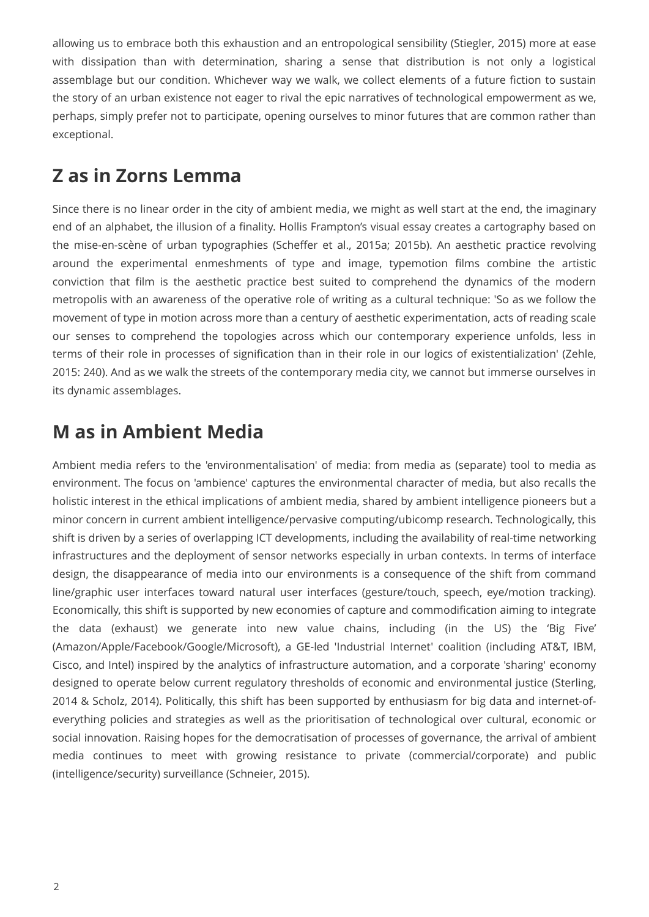allowing us to embrace both this exhaustion and an entropological sensibility (Stiegler, 2015) more at ease with dissipation than with determination, sharing a sense that distribution is not only a logistical assemblage but our condition. Whichever way we walk, we collect elements of a future fiction to sustain the story of an urban existence not eager to rival the epic narratives of technological empowerment as we, perhaps, simply prefer not to participate, opening ourselves to minor futures that are common rather than exceptional.

## **Z as in Zorns Lemma**

Since there is no linear order in the city of ambient media, we might as well start at the end, the imaginary end of an alphabet, the illusion of a finality. Hollis Frampton's visual essay creates a cartography based on the mise-en-scène of urban typographies (Scheffer et al., 2015a; 2015b). An aesthetic practice revolving around the experimental enmeshments of type and image, typemotion films combine the artistic conviction that film is the aesthetic practice best suited to comprehend the dynamics of the modern metropolis with an awareness of the operative role of writing as a cultural technique: 'So as we follow the movement of type in motion across more than a century of aesthetic experimentation, acts of reading scale our senses to comprehend the topologies across which our contemporary experience unfolds, less in terms of their role in processes of signification than in their role in our logics of existentialization' (Zehle, 2015: 240). And as we walk the streets of the contemporary media city, we cannot but immerse ourselves in its dynamic assemblages.

# **M as in Ambient Media**

Ambient media refers to the 'environmentalisation' of media: from media as (separate) tool to media as environment. The focus on 'ambience' captures the environmental character of media, but also recalls the holistic interest in the ethical implications of ambient media, shared by ambient intelligence pioneers but a minor concern in current ambient intelligence/pervasive computing/ubicomp research. Technologically, this shift is driven by a series of overlapping ICT developments, including the availability of real-time networking infrastructures and the deployment of sensor networks especially in urban contexts. In terms of interface design, the disappearance of media into our environments is a consequence of the shift from command line/graphic user interfaces toward natural user interfaces (gesture/touch, speech, eye/motion tracking). Economically, this shift is supported by new economies of capture and commodification aiming to integrate the data (exhaust) we generate into new value chains, including (in the US) the 'Big Five' (Amazon/Apple/Facebook/Google/Microsoft), a GE-led 'Industrial Internet' coalition (including AT&T, IBM, Cisco, and Intel) inspired by the analytics of infrastructure automation, and a corporate 'sharing' economy designed to operate below current regulatory thresholds of economic and environmental justice (Sterling, 2014 & Scholz, 2014). Politically, this shift has been supported by enthusiasm for big data and internet-ofeverything policies and strategies as well as the prioritisation of technological over cultural, economic or social innovation. Raising hopes for the democratisation of processes of governance, the arrival of ambient media continues to meet with growing resistance to private (commercial/corporate) and public (intelligence/security) surveillance (Schneier, 2015).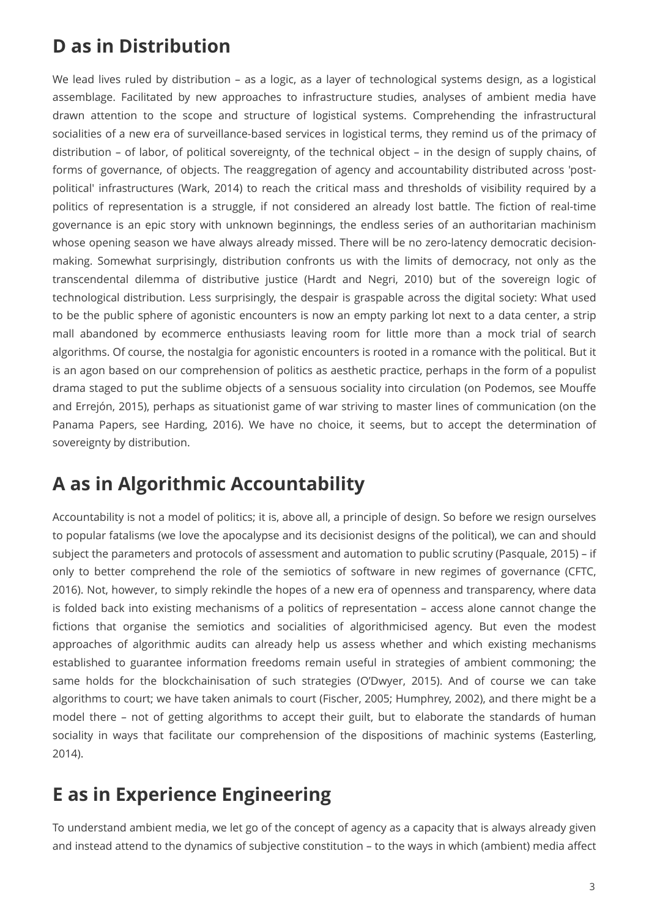# **D as in Distribution**

We lead lives ruled by distribution – as a logic, as a layer of technological systems design, as a logistical assemblage. Facilitated by new approaches to infrastructure studies, analyses of ambient media have drawn attention to the scope and structure of logistical systems. Comprehending the infrastructural socialities of a new era of surveillance-based services in logistical terms, they remind us of the primacy of distribution – of labor, of political sovereignty, of the technical object – in the design of supply chains, of forms of governance, of objects. The reaggregation of agency and accountability distributed across 'postpolitical' infrastructures (Wark, 2014) to reach the critical mass and thresholds of visibility required by a politics of representation is a struggle, if not considered an already lost battle. The fiction of real-time governance is an epic story with unknown beginnings, the endless series of an authoritarian machinism whose opening season we have always already missed. There will be no zero-latency democratic decisionmaking. Somewhat surprisingly, distribution confronts us with the limits of democracy, not only as the transcendental dilemma of distributive justice (Hardt and Negri, 2010) but of the sovereign logic of technological distribution. Less surprisingly, the despair is graspable across the digital society: What used to be the public sphere of agonistic encounters is now an empty parking lot next to a data center, a strip mall abandoned by ecommerce enthusiasts leaving room for little more than a mock trial of search algorithms. Of course, the nostalgia for agonistic encounters is rooted in a romance with the political. But it is an agon based on our comprehension of politics as aesthetic practice, perhaps in the form of a populist drama staged to put the sublime objects of a sensuous sociality into circulation (on Podemos, see Mouffe and Errejón, 2015), perhaps as situationist game of war striving to master lines of communication (on the Panama Papers, see Harding, 2016). We have no choice, it seems, but to accept the determination of sovereignty by distribution.

## **A as in Algorithmic Accountability**

Accountability is not a model of politics; it is, above all, a principle of design. So before we resign ourselves to popular fatalisms (we love the apocalypse and its decisionist designs of the political), we can and should subject the parameters and protocols of assessment and automation to public scrutiny (Pasquale, 2015) – if only to better comprehend the role of the semiotics of software in new regimes of governance (CFTC, 2016). Not, however, to simply rekindle the hopes of a new era of openness and transparency, where data is folded back into existing mechanisms of a politics of representation – access alone cannot change the fictions that organise the semiotics and socialities of algorithmicised agency. But even the modest approaches of algorithmic audits can already help us assess whether and which existing mechanisms established to guarantee information freedoms remain useful in strategies of ambient commoning; the same holds for the blockchainisation of such strategies (O'Dwyer, 2015). And of course we can take algorithms to court; we have taken animals to court (Fischer, 2005; Humphrey, 2002), and there might be a model there – not of getting algorithms to accept their guilt, but to elaborate the standards of human sociality in ways that facilitate our comprehension of the dispositions of machinic systems (Easterling, 2014).

# **E as in Experience Engineering**

To understand ambient media, we let go of the concept of agency as a capacity that is always already given and instead attend to the dynamics of subjective constitution – to the ways in which (ambient) media affect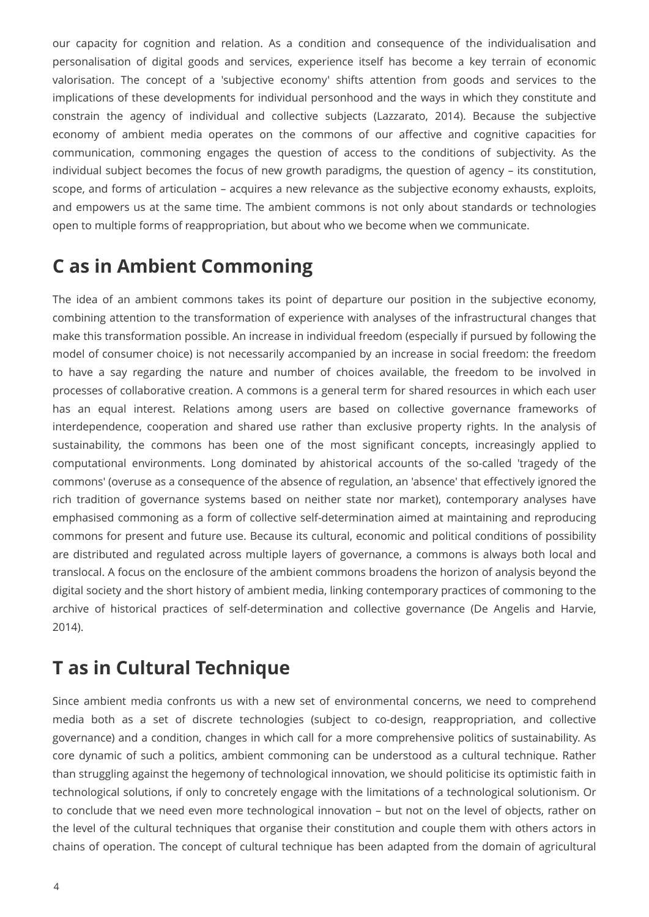our capacity for cognition and relation. As a condition and consequence of the individualisation and personalisation of digital goods and services, experience itself has become a key terrain of economic valorisation. The concept of a 'subjective economy' shifts attention from goods and services to the implications of these developments for individual personhood and the ways in which they constitute and constrain the agency of individual and collective subjects (Lazzarato, 2014). Because the subjective economy of ambient media operates on the commons of our affective and cognitive capacities for communication, commoning engages the question of access to the conditions of subjectivity. As the individual subject becomes the focus of new growth paradigms, the question of agency – its constitution, scope, and forms of articulation – acquires a new relevance as the subjective economy exhausts, exploits, and empowers us at the same time. The ambient commons is not only about standards or technologies open to multiple forms of reappropriation, but about who we become when we communicate.

# **C as in Ambient Commoning**

The idea of an ambient commons takes its point of departure our position in the subjective economy, combining attention to the transformation of experience with analyses of the infrastructural changes that make this transformation possible. An increase in individual freedom (especially if pursued by following the model of consumer choice) is not necessarily accompanied by an increase in social freedom: the freedom to have a say regarding the nature and number of choices available, the freedom to be involved in processes of collaborative creation. A commons is a general term for shared resources in which each user has an equal interest. Relations among users are based on collective governance frameworks of interdependence, cooperation and shared use rather than exclusive property rights. In the analysis of sustainability, the commons has been one of the most significant concepts, increasingly applied to computational environments. Long dominated by ahistorical accounts of the so-called 'tragedy of the commons' (overuse as a consequence of the absence of regulation, an 'absence' that effectively ignored the rich tradition of governance systems based on neither state nor market), contemporary analyses have emphasised commoning as a form of collective self-determination aimed at maintaining and reproducing commons for present and future use. Because its cultural, economic and political conditions of possibility are distributed and regulated across multiple layers of governance, a commons is always both local and translocal. A focus on the enclosure of the ambient commons broadens the horizon of analysis beyond the digital society and the short history of ambient media, linking contemporary practices of commoning to the archive of historical practices of self-determination and collective governance (De Angelis and Harvie, 2014).

#### **T as in Cultural Technique**

Since ambient media confronts us with a new set of environmental concerns, we need to comprehend media both as a set of discrete technologies (subject to co-design, reappropriation, and collective governance) and a condition, changes in which call for a more comprehensive politics of sustainability. As core dynamic of such a politics, ambient commoning can be understood as a cultural technique. Rather than struggling against the hegemony of technological innovation, we should politicise its optimistic faith in technological solutions, if only to concretely engage with the limitations of a technological solutionism. Or to conclude that we need even more technological innovation – but not on the level of objects, rather on the level of the cultural techniques that organise their constitution and couple them with others actors in chains of operation. The concept of cultural technique has been adapted from the domain of agricultural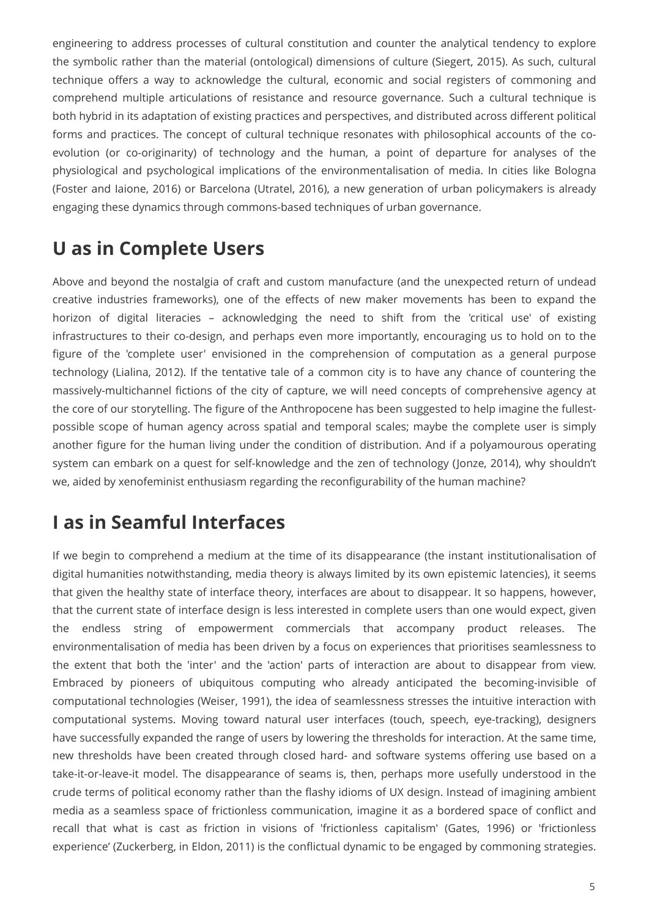engineering to address processes of cultural constitution and counter the analytical tendency to explore the symbolic rather than the material (ontological) dimensions of culture (Siegert, 2015). As such, cultural technique offers a way to acknowledge the cultural, economic and social registers of commoning and comprehend multiple articulations of resistance and resource governance. Such a cultural technique is both hybrid in its adaptation of existing practices and perspectives, and distributed across different political forms and practices. The concept of cultural technique resonates with philosophical accounts of the coevolution (or co-originarity) of technology and the human, a point of departure for analyses of the physiological and psychological implications of the environmentalisation of media. In cities like Bologna (Foster and Iaione, 2016) or Barcelona (Utratel, 2016), a new generation of urban policymakers is already engaging these dynamics through commons-based techniques of urban governance.

# **U as in Complete Users**

Above and beyond the nostalgia of craft and custom manufacture (and the unexpected return of undead creative industries frameworks), one of the effects of new maker movements has been to expand the horizon of digital literacies – acknowledging the need to shift from the 'critical use' of existing infrastructures to their co-design, and perhaps even more importantly, encouraging us to hold on to the figure of the 'complete user' envisioned in the comprehension of computation as a general purpose technology (Lialina, 2012). If the tentative tale of a common city is to have any chance of countering the massively-multichannel fictions of the city of capture, we will need concepts of comprehensive agency at the core of our storytelling. The figure of the Anthropocene has been suggested to help imagine the fullestpossible scope of human agency across spatial and temporal scales; maybe the complete user is simply another figure for the human living under the condition of distribution. And if a polyamourous operating system can embark on a quest for self-knowledge and the zen of technology (Jonze, 2014), why shouldn't we, aided by xenofeminist enthusiasm regarding the reconfigurability of the human machine?

## **I as in Seamful Interfaces**

If we begin to comprehend a medium at the time of its disappearance (the instant institutionalisation of digital humanities notwithstanding, media theory is always limited by its own epistemic latencies), it seems that given the healthy state of interface theory, interfaces are about to disappear. It so happens, however, that the current state of interface design is less interested in complete users than one would expect, given the endless string of empowerment commercials that accompany product releases. The environmentalisation of media has been driven by a focus on experiences that prioritises seamlessness to the extent that both the 'inter' and the 'action' parts of interaction are about to disappear from view. Embraced by pioneers of ubiquitous computing who already anticipated the becoming-invisible of computational technologies (Weiser, 1991), the idea of seamlessness stresses the intuitive interaction with computational systems. Moving toward natural user interfaces (touch, speech, eye-tracking), designers have successfully expanded the range of users by lowering the thresholds for interaction. At the same time, new thresholds have been created through closed hard- and software systems offering use based on a take-it-or-leave-it model. The disappearance of seams is, then, perhaps more usefully understood in the crude terms of political economy rather than the flashy idioms of UX design. Instead of imagining ambient media as a seamless space of frictionless communication, imagine it as a bordered space of conflict and recall that what is cast as friction in visions of 'frictionless capitalism' (Gates, 1996) or 'frictionless experience' (Zuckerberg, in Eldon, 2011) is the conflictual dynamic to be engaged by commoning strategies.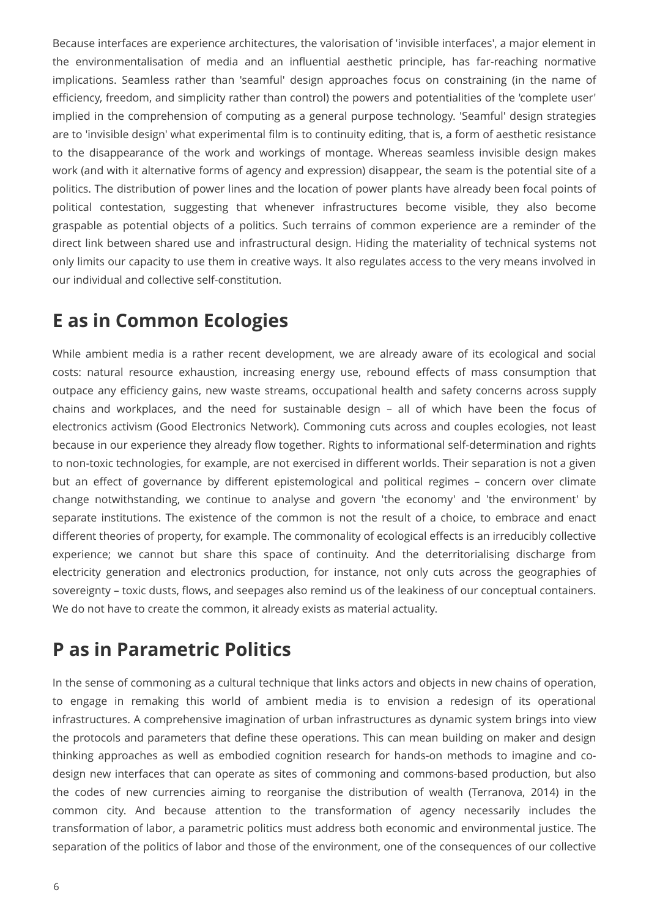Because interfaces are experience architectures, the valorisation of 'invisible interfaces', a major element in the environmentalisation of media and an influential aesthetic principle, has far-reaching normative implications. Seamless rather than 'seamful' design approaches focus on constraining (in the name of efficiency, freedom, and simplicity rather than control) the powers and potentialities of the 'complete user' implied in the comprehension of computing as a general purpose technology. 'Seamful' design strategies are to 'invisible design' what experimental film is to continuity editing, that is, a form of aesthetic resistance to the disappearance of the work and workings of montage. Whereas seamless invisible design makes work (and with it alternative forms of agency and expression) disappear, the seam is the potential site of a politics. The distribution of power lines and the location of power plants have already been focal points of political contestation, suggesting that whenever infrastructures become visible, they also become graspable as potential objects of a politics. Such terrains of common experience are a reminder of the direct link between shared use and infrastructural design. Hiding the materiality of technical systems not only limits our capacity to use them in creative ways. It also regulates access to the very means involved in our individual and collective self-constitution.

## **E as in Common Ecologies**

While ambient media is a rather recent development, we are already aware of its ecological and social costs: natural resource exhaustion, increasing energy use, rebound effects of mass consumption that outpace any efficiency gains, new waste streams, occupational health and safety concerns across supply chains and workplaces, and the need for sustainable design – all of which have been the focus of electronics activism (Good Electronics Network). Commoning cuts across and couples ecologies, not least because in our experience they already flow together. Rights to informational self-determination and rights to non-toxic technologies, for example, are not exercised in different worlds. Their separation is not a given but an effect of governance by different epistemological and political regimes – concern over climate change notwithstanding, we continue to analyse and govern 'the economy' and 'the environment' by separate institutions. The existence of the common is not the result of a choice, to embrace and enact different theories of property, for example. The commonality of ecological effects is an irreducibly collective experience; we cannot but share this space of continuity. And the deterritorialising discharge from electricity generation and electronics production, for instance, not only cuts across the geographies of sovereignty – toxic dusts, flows, and seepages also remind us of the leakiness of our conceptual containers. We do not have to create the common, it already exists as material actuality.

# **P as in Parametric Politics**

In the sense of commoning as a cultural technique that links actors and objects in new chains of operation, to engage in remaking this world of ambient media is to envision a redesign of its operational infrastructures. A comprehensive imagination of urban infrastructures as dynamic system brings into view the protocols and parameters that define these operations. This can mean building on maker and design thinking approaches as well as embodied cognition research for hands-on methods to imagine and codesign new interfaces that can operate as sites of commoning and commons-based production, but also the codes of new currencies aiming to reorganise the distribution of wealth (Terranova, 2014) in the common city. And because attention to the transformation of agency necessarily includes the transformation of labor, a parametric politics must address both economic and environmental justice. The separation of the politics of labor and those of the environment, one of the consequences of our collective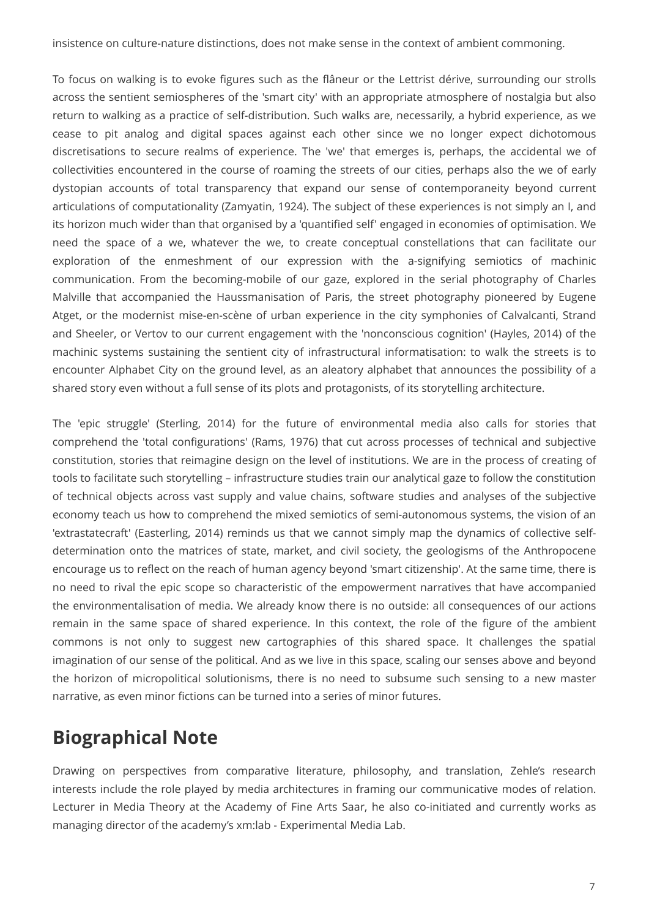insistence on culture-nature distinctions, does not make sense in the context of ambient commoning.

To focus on walking is to evoke figures such as the flâneur or the Lettrist dérive, surrounding our strolls across the sentient semiospheres of the 'smart city' with an appropriate atmosphere of nostalgia but also return to walking as a practice of self-distribution. Such walks are, necessarily, a hybrid experience, as we cease to pit analog and digital spaces against each other since we no longer expect dichotomous discretisations to secure realms of experience. The 'we' that emerges is, perhaps, the accidental we of collectivities encountered in the course of roaming the streets of our cities, perhaps also the we of early dystopian accounts of total transparency that expand our sense of contemporaneity beyond current articulations of computationality (Zamyatin, 1924). The subject of these experiences is not simply an I, and its horizon much wider than that organised by a 'quantified self' engaged in economies of optimisation. We need the space of a we, whatever the we, to create conceptual constellations that can facilitate our exploration of the enmeshment of our expression with the a-signifying semiotics of machinic communication. From the becoming-mobile of our gaze, explored in the serial photography of Charles Malville that accompanied the Haussmanisation of Paris, the street photography pioneered by Eugene Atget, or the modernist mise-en-scène of urban experience in the city symphonies of Calvalcanti, Strand and Sheeler, or Vertov to our current engagement with the 'nonconscious cognition' (Hayles, 2014) of the machinic systems sustaining the sentient city of infrastructural informatisation: to walk the streets is to encounter Alphabet City on the ground level, as an aleatory alphabet that announces the possibility of a shared story even without a full sense of its plots and protagonists, of its storytelling architecture.

The 'epic struggle' (Sterling, 2014) for the future of environmental media also calls for stories that comprehend the 'total configurations' (Rams, 1976) that cut across processes of technical and subjective constitution, stories that reimagine design on the level of institutions. We are in the process of creating of tools to facilitate such storytelling – infrastructure studies train our analytical gaze to follow the constitution of technical objects across vast supply and value chains, software studies and analyses of the subjective economy teach us how to comprehend the mixed semiotics of semi-autonomous systems, the vision of an 'extrastatecraft' (Easterling, 2014) reminds us that we cannot simply map the dynamics of collective selfdetermination onto the matrices of state, market, and civil society, the geologisms of the Anthropocene encourage us to reflect on the reach of human agency beyond 'smart citizenship'. At the same time, there is no need to rival the epic scope so characteristic of the empowerment narratives that have accompanied the environmentalisation of media. We already know there is no outside: all consequences of our actions remain in the same space of shared experience. In this context, the role of the figure of the ambient commons is not only to suggest new cartographies of this shared space. It challenges the spatial imagination of our sense of the political. And as we live in this space, scaling our senses above and beyond the horizon of micropolitical solutionisms, there is no need to subsume such sensing to a new master narrative, as even minor fictions can be turned into a series of minor futures.

## **Biographical Note**

Drawing on perspectives from comparative literature, philosophy, and translation, Zehle's research interests include the role played by media architectures in framing our communicative modes of relation. Lecturer in Media Theory at the Academy of Fine Arts Saar, he also co-initiated and currently works as managing director of the academy's xm:lab - Experimental Media Lab.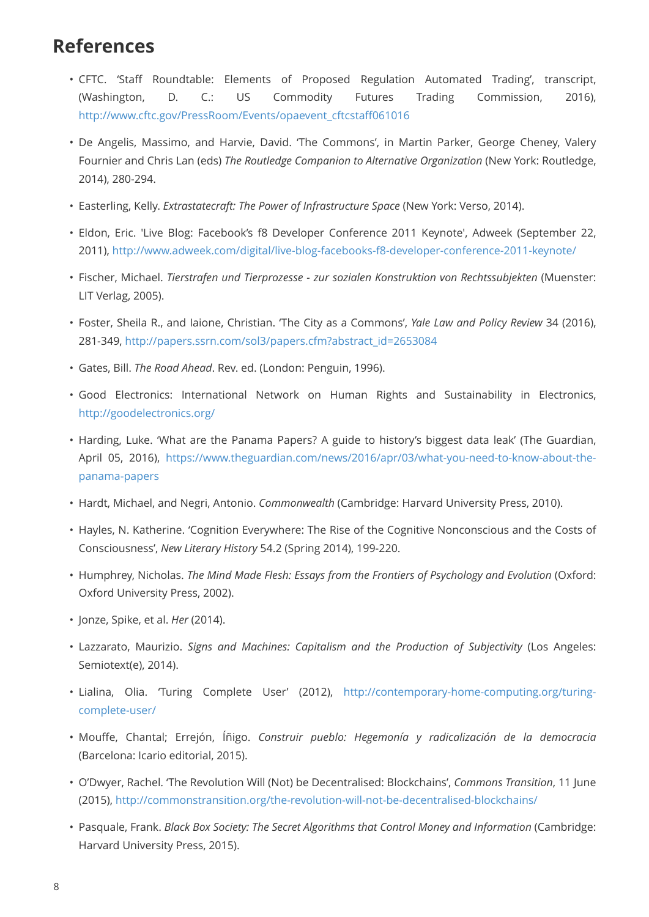#### **References**

- CFTC. 'Staff Roundtable: Elements of Proposed Regulation Automated Trading', transcript, (Washington, D. C.: US Commodity Futures Trading Commission, 2016), [http://www.cftc.gov/PressRoom/Events/opaevent\\_cftcstaff061016](http://www.cftc.gov/PressRoom/Events/opaevent_cftcstaff061016)
- De Angelis, Massimo, and Harvie, David. 'The Commons', in Martin Parker, George Cheney, Valery Fournier and Chris Lan (eds) *The Routledge Companion to Alternative Organization* (New York: Routledge, 2014), 280-294.
- Easterling, Kelly. *Extrastatecraft: The Power of Infrastructure Space* (New York: Verso, 2014).
- Eldon, Eric. 'Live Blog: Facebook's f8 Developer Conference 2011 Keynote', Adweek (September 22, 2011),<http://www.adweek.com/digital/live-blog-facebooks-f8-developer-conference-2011-keynote/>
- Fischer, Michael. *Tierstrafen und Tierprozesse zur sozialen Konstruktion von Rechtssubjekten* (Muenster: LIT Verlag, 2005).
- Foster, Sheila R., and Iaione, Christian. 'The City as a Commons', *Yale Law and Policy Review* 34 (2016), 281-349, [http://papers.ssrn.com/sol3/papers.cfm?abstract\\_id=2653084](http://papers.ssrn.com/sol3/papers.cfm?abstract_id=2653084)
- Gates, Bill. *The Road Ahead*. Rev. ed. (London: Penguin, 1996).
- Good Electronics: International Network on Human Rights and Sustainability in Electronics, <http://goodelectronics.org/>
- Harding, Luke. 'What are the Panama Papers? A guide to history's biggest data leak' (The Guardian, April 05, 2016), [https://www.theguardian.com/news/2016/apr/03/what-you-need-to-know-about-the](https://www.theguardian.com/news/2016/apr/03/what-you-need-to-know-about-the-panama-papers)[panama-papers](https://www.theguardian.com/news/2016/apr/03/what-you-need-to-know-about-the-panama-papers)
- Hardt, Michael, and Negri, Antonio. *Commonwealth* (Cambridge: Harvard University Press, 2010).
- Hayles, N. Katherine. 'Cognition Everywhere: The Rise of the Cognitive Nonconscious and the Costs of Consciousness', *New Literary History* 54.2 (Spring 2014), 199-220.
- Humphrey, Nicholas. *The Mind Made Flesh: Essays from the Frontiers of Psychology and Evolution* (Oxford: Oxford University Press, 2002).
- Jonze, Spike, et al. *Her* (2014).
- Lazzarato, Maurizio. *Signs and Machines: Capitalism and the Production of Subjectivity* (Los Angeles: Semiotext(e), 2014).
- Lialina, Olia. 'Turing Complete User' (2012), [http://contemporary-home-computing.org/turing](http://contemporary-home-computing.org/turing-complete-user/)[complete-user/](http://contemporary-home-computing.org/turing-complete-user/)
- Mouffe, Chantal; Errejón, Íñigo. *Construir pueblo: Hegemonía y radicalización de la democracia* (Barcelona: Icario editorial, 2015).
- O'Dwyer, Rachel. 'The Revolution Will (Not) be Decentralised: Blockchains', *Commons Transition*, 11 June (2015),<http://commonstransition.org/the-revolution-will-not-be-decentralised-blockchains/>
- Pasquale, Frank. *Black Box Society: The Secret Algorithms that Control Money and Information* (Cambridge: Harvard University Press, 2015).